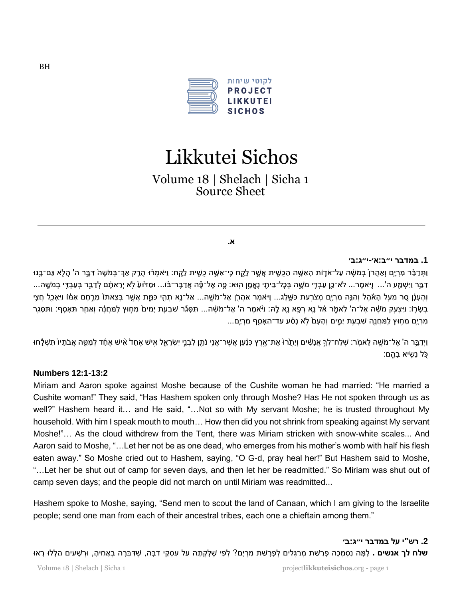

# Likkutei Sichos

Volume 18 | Shelach | Sicha 1 Source Sheet

#### **א.**

#### **.1 במדבר י״ב: א׳-י״ג:ב׳**

וַתְּדַבֶּר מְרָיָם וְאַהָרֹ( בִּמֹשֶׁה עָל־אֹדָות הָאָשֶׁה הַכִּשִׁית אֲשֵׁר לָקֶח כֶּי־אָשֶׁה כְשֵׁית לָקֶח: וַיֹּאמְרוּ הֲרֵק אָרְ־בָּמֹשֶׁה דְּבֵר ה' הָלָא גַּם־בֵּנוּ דבֵּר וַיִּשְׁמַע ה'... וַיֹּאמֵר... לֹא־כֵן עַבְדֵי מֹשֵׁה בְּכָל־בֵּיתִי נֵאֱמֶן הִוּא: פֵּה אֶל־פֶּה אֲדַבֵּר־בֿוֹ... וּמַדֹּוּעַ לְא יְרֵאתֶם לְדַבֵּר בְּעַבְדֵי בְמֹשֵׁה... וְהֵעָנָן סֶר מֶעֶל הָאֹהֶל וְהִנֵּה מִרְיָם מְצֹרְעַת כַּשֶּׁלָג... וַיֹּאמֶר אַהֲרֹן אֶל־מֹשֶׁה... אַל־נֵא תִהִי כַּמֵּת אֲשֵׁר בִּצֵאתוֹ מֵרֵחֵם אִמּו וַיַּאָכֵל חַצֵי ַבְשָׂרְוֹ: וַיַּצְעֵק מֹשֶׁה אֶל־ה' לֵאמֹר אֶל נֵא רְפֵא נָא לֶהּ: וַיֹּאמֶר ה' אֶל־מֹשֶׁה... תִּסְגֶּר שְׁבָעֶת יָמִים מְחִוּץ לַמַּחֲנָה וְאַחַר תַּאָסֵף: וַתִּסְגֶר ּ מִרְיָם מִחְוּץ לַמַּחֲנֵה שִׁבְעֵת יָמֵים וְהָעָם לְא נָסָׁע עַד־הֲאָסֵף מִרְיֶם...

וַיִדְבֵּר ה' אֶל־מֹשֶׁה לֵאמֹר: שִׁלַח־לְךָּ אָנָשִׁים וְיָתָרוֹ אֶת־אֱרֶץ כְּנָען אֲשֶׁר־אָנֵי נֹתֶן לְבְנֵי יִשְׂרָאֵל אָיש אֶחֶד אִיש אֱחָד לְמַשֶּׁה אֲבֹתָיוֹ תִּשָּׁלֶחוּ כֹּל נשׂיא בהם:

#### **Numbers 12:1-13:2**

Miriam and Aaron spoke against Moshe because of the Cushite woman he had married: "He married a Cushite woman!" They said, "Has Hashem spoken only through Moshe? Has He not spoken through us as well?" Hashem heard it... and He said, "...Not so with My servant Moshe; he is trusted throughout My household. With him I speak mouth to mouth… How then did you not shrink from speaking against My servant Moshe!"… As the cloud withdrew from the Tent, there was Miriam stricken with snow-white scales... And Aaron said to Moshe, "…Let her not be as one dead, who emerges from his mother's womb with half his flesh eaten away." So Moshe cried out to Hashem, saying, "O G-d, pray heal her!" But Hashem said to Moshe, "…Let her be shut out of camp for seven days, and then let her be readmitted." So Miriam was shut out of camp seven days; and the people did not march on until Miriam was readmitted...

Hashem spoke to Moshe, saying, "Send men to scout the land of Canaan, which I am giving to the Israelite people; send one man from each of their ancestral tribes, each one a chieftain among them."

**.2 רש"י על במדבר י״ג: ב׳ שלח לך אנשים .** לְמָה נִסְמָכָה פָרָשַׁת מְרַגְּלִים לְפָרָשַׁת מִרְיָם? לְפִי שֶׁלָּקְתָה עַל עִסְקֵי דִבָּה, שֶׁדִּבְרָה בְאָחִיהָ, וּרְשָׁעִים הַלָּלוּ רָאוּ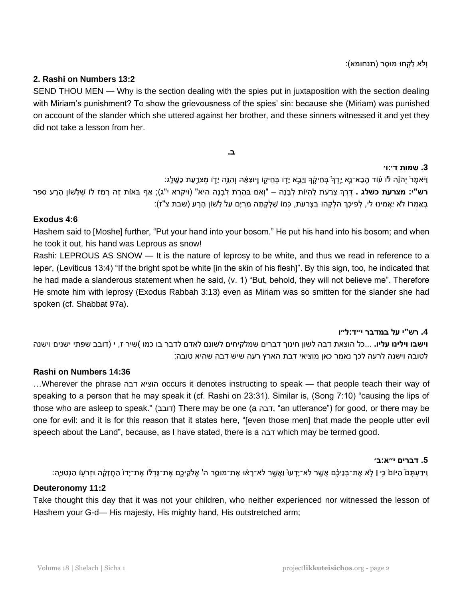וְּלֹא ל קְּ חּו מּוס ר )תנחומא (:

# **2. Rashi on Numbers 13:2**

SEND THOU MEN — Why is the section dealing with the spies put in juxtaposition with the section dealing with Miriam's punishment? To show the grievousness of the spies' sin: because she (Miriam) was punished on account of the slander which she uttered against her brother, and these sinners witnessed it and yet they did not take a lesson from her.

**ב.** 

# **.3 שמות ד׳ :ו׳**

וַיْאמֶרْ יְהֹוָה לֹו עוֹד הֶבֵא־נֶא יֶדְךָּ בְּחֵיקֶךְ וַיָּבֵא יָדָו בְּחֵיקֶו וַיּוֹצִאָּהּ וְהִנֵּה יָדָו מְצֹרַעַת כַשֶּׁלֶג: ר**ש"י: מצרעת כשלג .** דֵּרֵךְ צָרַעַת לְהִיוֹת לְבָנָה – "וְאִם בַּהֶרֵת לְבָנָה הִיא" (ויקרא י"ג); אַף בָּאוֹת זֵה רָמַז לוֹ שֵׁלָּשׁוֹן הָרָע סִפֵּר בְּאָמְרוֹ לֹא יַאֲמִינוּ לִי, לְפִיכָךְ הִלְּקָהוּ בְצָרַעַת, כְּמוֹ שֵׁלָּקְתָה מִרְיָם עַל לְשׁוֹן הָרָע (שבת צ"ז):

# **Exodus 4:6**

Hashem said to [Moshe] further, "Put your hand into your bosom." He put his hand into his bosom; and when he took it out, his hand was Leprous as snow!

Rashi: LEPROUS AS SNOW — It is the nature of leprosy to be white, and thus we read in reference to a leper, (Leviticus 13:4) "If the bright spot be white [in the skin of his flesh]". By this sign, too, he indicated that he had made a slanderous statement when he said, (v. 1) "But, behold, they will not believe me". Therefore He smote him with leprosy (Exodus Rabbah 3:13) even as Miriam was so smitten for the slander she had spoken (cf. Shabbat 97a).

#### **.4 רש"י על במדבר י״ד :ל״ו**

**וישבו וילינו עליו.** ...כל הוצאת דבה לשון חינוך דברים שמלקיחים לשונם לאדם לדבר בו כמו )שיר ז , י (דובב שפתי ישנים וישנה לטובה וישנה לרעה לכך נאמר כאן מוציאי דבת הארץ רעה שיש דבה שהיא טובה :

# **Rashi on Numbers 14:36**

…Wherever the phrase דבה הוציא occurs it denotes instructing to speak — that people teach their way of speaking to a person that he may speak it (cf. Rashi on 23:31). Similar is, (Song 7:10) "causing the lips of those who are asleep to speak." (דובב, There may be one (a דבה, "an utterance") for good, or there may be one for evil: and it is for this reason that it states here, "[even those men] that made the people utter evil speech about the Land", because, as I have stated, there is a דבה which may be termed good.

#### **.5 דברים י״א: ב׳**

ֶוִידַעְתָּם הַיּוֹם כִּי | לְא אֶת־בְּנֵיכֶם אֲשֶׁר לְא־יָדָעוּ וַאֲשֵׁר לֹא־רָאוּ אֶת־מוּסֵר ה' אֱלֹקֵיכֵם אֶת־גַּדְלֹוֹ אֶת־יָדוֹ הַחֲזָקָה וּזְרֹעוֹ הַנָּטוּיֶה:

#### **Deuteronomy 11:2**

Take thought this day that it was not your children, who neither experienced nor witnessed the lesson of Hashem your G-d— His majesty, His mighty hand, His outstretched arm;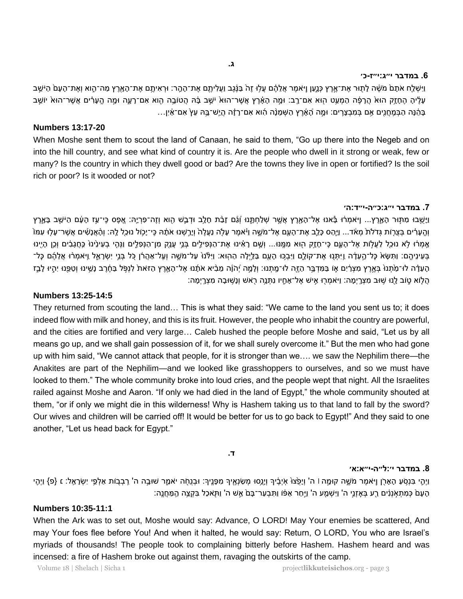#### **.6 במדבר י״ג:י״ז -כ׳**

וַיִּשְׁלֵח אֹתָם מֹשֶׁה לָתְוּר אֶת־אֶרֶץ כְּנֶעַן וַיֹּאמֶר אֲלֵהֶם עֲלִוּ זֶה בַּנָּ֫גֶב וַעֲלִיתֶם אֶת־הָמֶר׃ וּרְאִיתֵם אֶת־הָאָרֶץ מַה־הֶוּא וְאֶת־הָעָם הַיֹּשֵׁב עָלֵיהָ הֶחָזֶק הוּא הֲרָפֶּה הַמְעַט הְוּא אִם־רֶב׃ וּמֶה הָאָרֵץ אֲשֶׁר־הוּא יֹשֵׁב בָּה הֵטוֹבֶה הֶוא אִם־רָעֶה וּמֶה הֱעָרִים אֲשֶׁר־הוּא יוֹשֵׁב ּבְּהֶ֫הָ הַבְּמְחֲנֶים אֶם בְּמִבְצָרֵים: וּמֶה הָ֫אָُרֶץ הַשְּׁמֵנָּה הָוא אִם־רָ†ָה הֲיֵש־בֶּהּ עֵץ אִם־אֵיִן...

#### **Numbers 13:17-20**

When Moshe sent them to scout the land of Canaan, he said to them, "Go up there into the Negeb and on into the hill country, and see what kind of country it is. Are the people who dwell in it strong or weak, few or many? Is the country in which they dwell good or bad? Are the towns they live in open or fortified? Is the soil rich or poor? Is it wooded or not?

#### **.7 במדבר י״ג:כ״ה-י״ד: ה׳**

וַיָּשֻׁבוּ מִתְּוּר הָאָרֶץ... וַיּאמְרֹוּ בָּאנוּ אֶל־הָאָרֶץ אֲשֶׁר שְׁלַחְתֶּנוּ וְגַֿם זָבַּת חָלֶב וּדְבַשׁ הֶוא וְזֶה־פִּרְיֶהּ: אֱפֶס כִּי־עַז הָעָם הַיּשֵׁב בָּאָרֶץ וְהֵעָרִים בַּצַרְוֹת גִּדֹלֹת מָאֹד... וַיֵּהַס כָּלֶב אֶת־הָעֶם אֶל־מֹשֶׁה וַיֹּאמֶר עָלָה נַעֲלֶה וְיָרֵשָׁנוּ אֹתָה כֶּי־יָכָוֹל נוּכָל לָהּ: וְהָאֲנָשִׁים אֲשֶׁר־עָלוּ עִמּוֹ אֶמְרֹוּ לָא נוּכַל לַעֲלוֹת אֶל־הָעֶם כִּי־חָזֶק הוּא מִמֵּנּוּ... וְשֶׁם רָאִינוּ אֶת־הַנְפִילֵים בְּנֵי עֲנָק מִן־הַנִּפְלֵים וַנְהָי בְעִינִינוּ כְּחֲגָבִים וְכֵן הָיִינוּ ַבְּעִינֵיהֵם: וַתִּשָּׂא כָּל־הֶעֶדָה וַיִּתְנוּ אֶת־קוֹלֶם וַיִּבְנּוּ הָעֶם בַּלֵּיִלְה הַהְוּא: וַיִּלְּנוּ עַל־מֹשֶׁה וְעַל־אַהַרוֹ כָּל בְּנֵי יִשְׂרָאֱל וַיֹּאמְרוּ אֲלֵהֶם כָּל־ הַעֲדָה לו-מַתְנוֹ בָּאֱרֶץ מִצְרַיִם אַו בַּמִּדְבֵר הַזֶּה לו-מַתְנוּ: וְלָמֶה יְהֹוֶה מֶבִיא אֹתָנוּ אֶל־הָאָרֶץ הַזאת לְנִפְּל בַּחֲרֶב נָשֶׁינוּ וְטַפֶּנוּ יְהִיוּ לְבֵז ֿהֲלָוֹא טֶוֹב לָנוּ שִׁוּּב מִצְרֶיְמָה: וַיֹּאמְרָוּ אִישׁ אֶל־אָחֶיו נִתְּנֶה רָאשׁ וְנָשִׁוּבָה מִצְרֶיִמָּה

# **Numbers 13:25-14:5**

They returned from scouting the land… This is what they said: "We came to the land you sent us to; it does indeed flow with milk and honey, and this is its fruit. However, the people who inhabit the country are powerful, and the cities are fortified and very large… Caleb hushed the people before Moshe and said, "Let us by all means go up, and we shall gain possession of it, for we shall surely overcome it." But the men who had gone up with him said, "We cannot attack that people, for it is stronger than we…. we saw the Nephilim there—the Anakites are part of the Nephilim—and we looked like grasshoppers to ourselves, and so we must have looked to them." The whole community broke into loud cries, and the people wept that night. All the Israelites railed against Moshe and Aaron. "If only we had died in the land of Egypt," the whole community shouted at them, "or if only we might die in this wilderness! Why is Hashem taking us to that land to fall by the sword? Our wives and children will be carried off! It would be better for us to go back to Egypt!" And they said to one another, "Let us head back for Egypt."

**ד.** 

#### **.8 במדבר י׳: ל״ה -י״א: א׳**

וַיְהָי בִּנְסָעַ הָאָרֶן וָיֹאמֶר מֹשֶׁה קוּמֶה l ה' וְיָפָצוֹ אָיְבֶיךָ וְיָגֵסוּ מְשֹׁנְאֶיךָ מִפָּנֵיךְ: וּבְנֵחָה יאמֶר שוּבָה ה' רְבָבות אַלְפֵי יִשְׂרָאָל: ε {פ} וַיְהָי ָּנֶׁעָּם כְּמִתְאָנְנִִים רֵע בְּאָזְנֵי ה' וַיִּשְׁמֵע ה' וַיִּחַר אַפּׁוֹ וַתִּבְעַר־בָּם אֵשׁ ה' וַתְּאכַל בִּקְצֵה הַמֵּחֲנֵה:

# **Numbers 10:35-11:1**

When the Ark was to set out, Moshe would say: Advance, O LORD! May Your enemies be scattered, And may Your foes flee before You! And when it halted, he would say: Return, O LORD, You who are Israel's myriads of thousands! The people took to complaining bitterly before Hashem. Hashem heard and was incensed: a fire of Hashem broke out against them, ravaging the outskirts of the camp.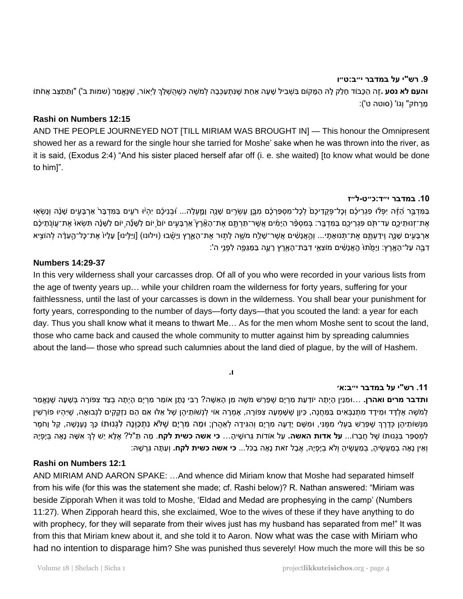# **.9 רש"י על במדבר י״ב: ט״ו**

**והעם לא נסע .ז**ֶה הַכָּבוֹד חָלָק לָהּ הַמֶּקוֹם בִּשְׁבִיל שָׁעָה אַחַת שֶׁנְתְעַכְּבָה לְמֹשֶׁה כְּשֶׁהְשָׁלַךְ לַיְאוֹר, שֶׁנְּאֱמַר (שמות ב') "וַתֵּתַצַּב אֲחֹתוֹ מֵרַחֹק" וְגוֹ' (סוטה ט'):

# **Rashi on Numbers 12:15**

AND THE PEOPLE JOURNEYED NOT [TILL MIRIAM WAS BROUGHT IN] — This honour the Omnipresent showed her as a reward for the single hour she tarried for Moshe' sake when he was thrown into the river, as it is said, (Exodus 2:4) "And his sister placed herself afar off (i. e. she waited) [to know what would be done to him]".

#### **.10 במדבר י״ד :כ״ט -ל״ז**

בַּמַּדְבֵּר הַזֶּה יִפְלוּ פִגְרֵיכֶם וְכָל־פְקֵדֵיכֶם לְכָל־מִסְפַּרְכֶם מִבֵּן עֵשָׂרֵים שָׁנָה וְמָעָלָה... וُבְנֵיכֶם יְהִיּוּ רֹעֵים בַּמִּדְבָּר אַרְבָּעִים שָׁנָה וְנָשָׂאָוּ אֶת־זְנוּתֵיכֵם עַד־תֹּם פְגַרֵיכֵם בַּמִּדְבֵר: בַּמִסְפָּר הַיָּמִים אֲשֶׁר־תַּרְתֵּם אֶת־הַאֶּרֶץ אַרְבָּעֵים יוֹם יוֹם עֲשֶׁנָּה יוֹם לָשָׁנָה תִשָּׁאוּ אֶת־עֲוֹנִתִּיכֶם אַרְבָּעִים שָׁנֶה וַיִּדַעְתָּם אֶת־תְּנוּאָתָי... וְהָאֲנָשִׁים אֲשֶׁר־שָׁלֵח מֹשֶׁה לָתְוּר אֶת־הָאָרֶץ וַיָּשֶׁבוּ (וילונו) [וַיַּלֵּינוּ] עָלָיוֹ אֶת־כָּל־הֶעָדָה לְהוּצִיא ָדְבָּה עַל־הָאֶרֵץ: וַיָּמֻׂתוּ הֶאֲנָשִׁים מוֹצָאֵי דִבַּת־הָאָרֵץ רָעֶה בַּמַּגֵּפֶה לִפְנֵי ה':

# **Numbers 14:29-37**

In this very wilderness shall your carcasses drop. Of all of you who were recorded in your various lists from the age of twenty years up… while your children roam the wilderness for forty years, suffering for your faithlessness, until the last of your carcasses is down in the wilderness. You shall bear your punishment for forty years, corresponding to the number of days—forty days—that you scouted the land: a year for each day. Thus you shall know what it means to thwart Me… As for the men whom Moshe sent to scout the land, those who came back and caused the whole community to mutter against him by spreading calumnies about the land— those who spread such calumnies about the land died of plague, by the will of Hashem.

# **ו.**

# **.11 רש"י על במדבר י״ב: א׳**

**ותדבר מרים ואהרן.** ...וּמִנַּיִן הִיְתָה יוֹדַעַת מִרְיָם שֶׁפֶּרֶשׁ מֹשֶׁה מִן הָאִשָּׁה? רַבְּי נְתָן אוֹמֶר מִרְיָם הַיְתָה בִצַד צִפּוֹרָה בְּשָׁעָה שֶׁנְּאֵמֶר לְמֹשֶׁה אֶלְדָד וּמִידָד מִתְנַבְּאִים בַּמַּחֲנֵה, כֵּיוָן שֶׁשָּׁמִעָּה צִפּוֹרָה, אָמְרָה אוֹי לְנְשׁותֶיהֶן שֶׁל אֶלּוּ אִם הֶם נִזְקָקִים לְנְבוּאָה, שֶׁיְהִיוּ פוֹרְשִׁין מִנְּשׁוּתֵיהֶן כְּדֶרֶךְ שֶׁפֵּרֵשׁ בַּעְלִי מִמֶּנִּי, וּמִשָּׁם יָדְעָה מִרְיָם וְהִגִּידָה לְאַהֲרֹן; וּמַה מִרְיָם שֶׁלֹּא נִתְכַּוְּנָה לִגְנוּתוֹ כְּךְ נֶעֶנְשָׁה, קַל וָחֹמֶר לִמְּסַפֵּר בִּגְנוּתוֹ שֶׁל חֲבֵרוֹ... **על אדות האשה.** עַל אוֹדוֹת גֵּרוּשֶׁיהָ... **כי אשה כשית לקח**. מַה תַּ"ל? אֶלֶא יֵשׁ לְךָ אִשָּׁה נָאָה בְּיָפְיָה וְּא ין נ א ה בְּ מַ עֲש יה , בְּ מַ עֲש יה וְּלֹא בְּ י פְּ י ּה , אֲב ל זֹאת נ א ה בַ כֹל ... **כי אשה כשית לקח.** וְּעַת ה ג רְּ ש ּה:

# **Rashi on Numbers 12:1**

AND MIRIAM AND AARON SPAKE: …And whence did Miriam know that Moshe had separated himself from his wife (for this was the statement she made; cf. Rashi below)? R. Nathan answered: "Miriam was beside Zipporah When it was told to Moshe, 'Eldad and Medad are prophesying in the camp' (Numbers 11:27). When Zipporah heard this, she exclaimed, Woe to the wives of these if they have anything to do with prophecy, for they will separate from their wives just has my husband has separated from me!" It was from this that Miriam knew about it, and she told it to Aaron. Now what was the case with Miriam who had no intention to disparage him? She was punished thus severely! How much the more will this be so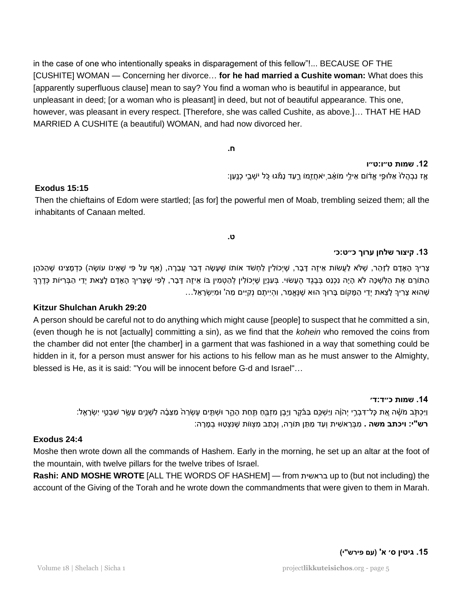in the case of one who intentionally speaks in disparagement of this fellow"!... BECAUSE OF THE [CUSHITE] WOMAN — Concerning her divorce… **for he had married a Cushite woman:** What does this [apparently superfluous clause] mean to say? You find a woman who is beautiful in appearance, but unpleasant in deed; [or a woman who is pleasant] in deed, but not of beautiful appearance. This one, however, was pleasant in every respect. [Therefore, she was called Cushite, as above.]… THAT HE HAD MARRIED A CUSHITE (a beautiful) WOMAN, and had now divorced her.

**ח.** 

# **.12 שמות ט״ו: ט״ו**

ָּאַז נִבְהֵלוֹ אַלּוּפֵי אֵדֹום אֵילֵי מוֹאָב ִיאחֲזֵמוֹ רֶעַד נָמֹּגוּ כָּל יֹשְׁבֵי כְנֶעַן:

# **Exodus 15:15**

Then the chieftains of Edom were startled; [as for] the powerful men of Moab, trembling seized them; all the inhabitants of Canaan melted.

**ט.** 

# **.13 קיצור שלחן ערוך כ״ט:כ׳**

צְרִיךְ הָאָדָם לְזָהֵר, שֶׁלֹּא לַעֲשׂות אִיזֶה דָּבָר, שֵׁיְכוֹלִין לַחְשֹׁד אוֹתו שֶׁעָשָׂה דְּבַר עֲבֵרָה, (אַף עַל פִּי שֶׁאֵינוֹ עוֹשֶׂה) כִּדְמָצִינוּ שֶׁהַכֹּהֵן הַתּוֹרֵם אֶת הַלְשִׁכָּה לֹא הָיָה נִכְנַס בְּבֶגֶד הֶעָשׂוּי. בְּעָנְיָן שֶׁיְכוֹלִין לְהַטְמִין בּוֹ אֵיזֶה דָּבָר, לְפִי שֶׁצָּרִיךָ הָאָדָם לָצֵאת יְדֵי הַבְּרִיּוֹת כְּדֶרֶךְ ּשֵׁ הוּא צָרִיךְ לְצֵאת יְדֵי הַמָּקוֹם בָּרוּךְ הוּא שֵׁנֵאֱמַר, וִהְיִיתֵם נְקְיִים מֵה' וּמִיִשְׂרָאֵל...

# **Kitzur Shulchan Arukh 29:20**

A person should be careful not to do anything which might cause [people] to suspect that he committed a sin, (even though he is not [actually] committing a sin), as we find that the *kohein* who removed the coins from the chamber did not enter [the chamber] in a garment that was fashioned in a way that something could be hidden in it, for a person must answer for his actions to his fellow man as he must answer to the Almighty, blessed is He, as it is said: "You will be innocent before G-d and Israel"…

#### **.14 שמות כ״ד: ד׳**

וַיָּכְתְּב מֹשֶׁה אֶת כָּל־דִּבְרֵי יְהֹוֶה וַיִּשְׁכֵּם בַּבֹּקֵר וַיָּבֵן מִזְבֵּחַ תַּחַת הָהָר וּשְׁתֵּים עֲשָׂרָה מַצֵּבָה לְשָׁנֵים עָשָׂר שִׁבְטֵי יִשְׂרָאֵל: ר**ש"י: ויכתב משה .** מִבְּרֵאשִׁית וְעַד מַתַּן תּוֹרָה, וְכָתַב מִצְוּוֹת שֶׁנִּצְטַוּוּ בְמָרָה:

# **Exodus 24:4**

Moshe then wrote down all the commands of Hashem. Early in the morning, he set up an altar at the foot of the mountain, with twelve pillars for the twelve tribes of Israel.

**Rashi: AND MOSHE WROTE** [ALL THE WORDS OF HASHEM] — from בראשית up to (but not including) the account of the Giving of the Torah and he wrote down the commandments that were given to them in Marah.